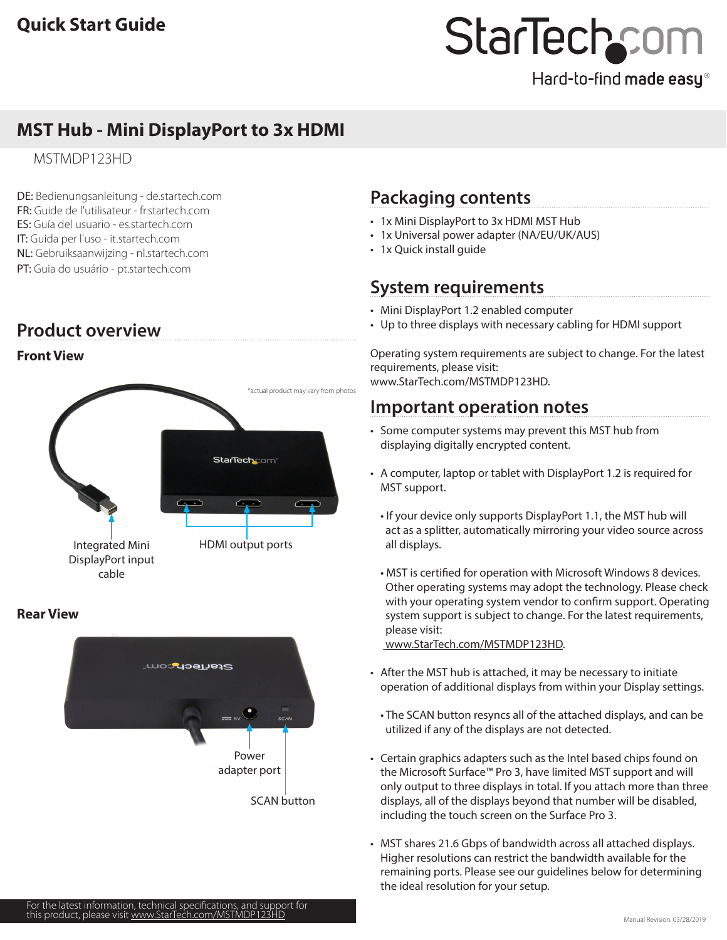# **MST Hub - Mini DisplayPort to 3x HDMI**

MSTMDP123HD

DE: Bedienungsanleitung - de.startech.com FR: Guide de l'utilisateur - fr.startech.com ES: Guía del usuario - es.startech.com IT: Guida per l'uso - it.startech.com NL: Gebruiksaanwijzing - nl.startech.com PT: Guia do usuário - pt.startech.com

## **Product overview**

## **Front View**



### **Rear View**



## **Packaging contents**

- 1x Mini DisplayPort to 3x HDMI MST Hub
- 1x Universal power adapter (NA/EU/UK/AUS)
- 1x Quick install guide

# **System requirements**

- Mini DisplayPort 1.2 enabled computer
- Up to three displays with necessary cabling for HDMI support

Operating system requirements are subject to change. For the latest requirements, please visit: [www.StarTech.com/MSTMDP123HD](http://www.startech.com/MSTMDP123HD).

## **Important operation notes**

- Some computer systems may prevent this MST hub from displaying digitally encrypted content.
- A computer, laptop or tablet with DisplayPort 1.2 is required for MST support.
	- If your device only supports DisplayPort 1.1, the MST hub will act as a splitter, automatically mirroring your video source across all displays.
	- MST is certified for operation with Microsoft Windows 8 devices. Other operating systems may adopt the technology. Please check with your operating system vendor to confirm support. Operating system support is subject to change. For the latest requirements, please visit:

[www.StarTech.com/MSTMDP123HD](http:// www.startech.com/MSTMDP123HD).

- After the MST hub is attached, it may be necessary to initiate operation of additional displays from within your Display settings.
	- The SCAN button resyncs all of the attached displays, and can be utilized if any of the displays are not detected.
- Certain graphics adapters such as the Intel based chips found on the Microsoft Surface™ Pro 3, have limited MST support and will only output to three displays in total. If you attach more than three displays, all of the displays beyond that number will be disabled, including the touch screen on the Surface Pro 3.
- MST shares 21.6 Gbps of bandwidth across all attached displays. Higher resolutions can restrict the bandwidth available for the remaining ports. Please see our guidelines below for determining the ideal resolution for your setup.